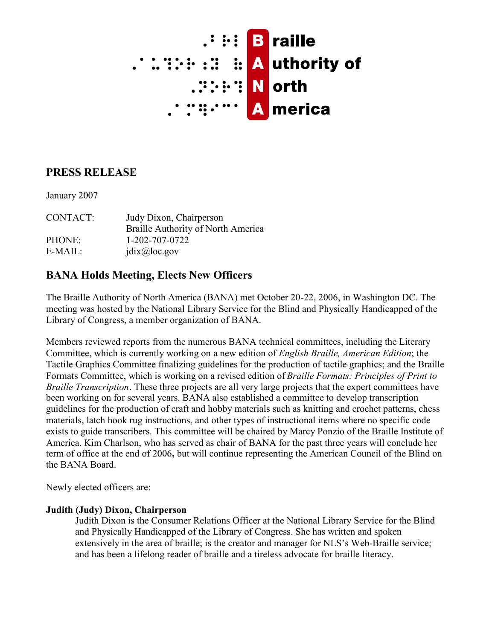

# **PRESS RELEASE**

January 2007

CONTACT: Judy Dixon, Chairperson Braille Authority of North America PHONE: 1-202-707-0722 E-MAIL:  $i\text{d}$ i $\text{d}$ i $\text{d}$ i $\text{d}$ i $\text{d}$ oc.gov

# **BANA Holds Meeting, Elects New Officers**

The Braille Authority of North America (BANA) met October 20-22, 2006, in Washington DC. The meeting was hosted by the National Library Service for the Blind and Physically Handicapped of the Library of Congress, a member organization of BANA.

Members reviewed reports from the numerous BANA technical committees, including the Literary Committee, which is currently working on a new edition of *English Braille, American Edition*; the Tactile Graphics Committee finalizing guidelines for the production of tactile graphics; and the Braille Formats Committee, which is working on a revised edition of *Braille Formats: Principles of Print to Braille Transcription*. These three projects are all very large projects that the expert committees have been working on for several years. BANA also established a committee to develop transcription guidelines for the production of craft and hobby materials such as knitting and crochet patterns, chess materials, latch hook rug instructions, and other types of instructional items where no specific code exists to guide transcribers. This committee will be chaired by Marcy Ponzio of the Braille Institute of America. Kim Charlson, who has served as chair of BANA for the past three years will conclude her term of office at the end of 2006**,** but will continue representing the American Council of the Blind on the BANA Board.

Newly elected officers are:

#### **Judith (Judy) Dixon, Chairperson**

Judith Dixon is the Consumer Relations Officer at the National Library Service for the Blind and Physically Handicapped of the Library of Congress. She has written and spoken extensively in the area of braille; is the creator and manager for NLS's Web-Braille service; and has been a lifelong reader of braille and a tireless advocate for braille literacy.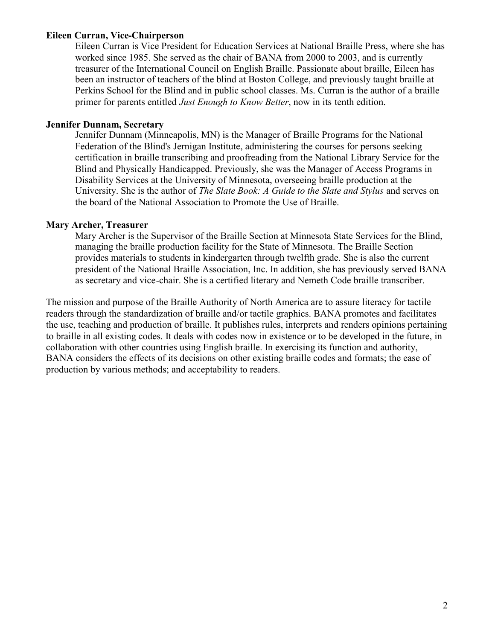#### **Eileen Curran, Vice-Chairperson**

Eileen Curran is Vice President for Education Services at National Braille Press, where she has worked since 1985. She served as the chair of BANA from 2000 to 2003, and is currently treasurer of the International Council on English Braille. Passionate about braille, Eileen has been an instructor of teachers of the blind at Boston College, and previously taught braille at Perkins School for the Blind and in public school classes. Ms. Curran is the author of a braille primer for parents entitled *Just Enough to Know Better*, now in its tenth edition.

#### **Jennifer Dunnam, Secretary**

Jennifer Dunnam (Minneapolis, MN) is the Manager of Braille Programs for the National Federation of the Blind's Jernigan Institute, administering the courses for persons seeking certification in braille transcribing and proofreading from the National Library Service for the Blind and Physically Handicapped. Previously, she was the Manager of Access Programs in Disability Services at the University of Minnesota, overseeing braille production at the University. She is the author of *The Slate Book: A Guide to the Slate and Stylus* and serves on the board of the National Association to Promote the Use of Braille.

## **Mary Archer, Treasurer**

Mary Archer is the Supervisor of the Braille Section at Minnesota State Services for the Blind, managing the braille production facility for the State of Minnesota. The Braille Section provides materials to students in kindergarten through twelfth grade. She is also the current president of the National Braille Association, Inc. In addition, she has previously served BANA as secretary and vice-chair. She is a certified literary and Nemeth Code braille transcriber.

The mission and purpose of the Braille Authority of North America are to assure literacy for tactile readers through the standardization of braille and/or tactile graphics. BANA promotes and facilitates the use, teaching and production of braille. It publishes rules, interprets and renders opinions pertaining to braille in all existing codes. It deals with codes now in existence or to be developed in the future, in collaboration with other countries using English braille. In exercising its function and authority, BANA considers the effects of its decisions on other existing braille codes and formats; the ease of production by various methods; and acceptability to readers.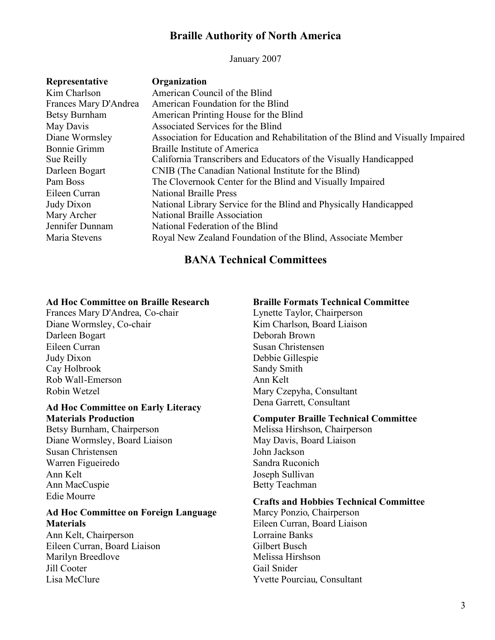## **Braille Authority of North America**

January 2007

| Representative        | Organization                                                                    |
|-----------------------|---------------------------------------------------------------------------------|
| Kim Charlson          | American Council of the Blind                                                   |
| Frances Mary D'Andrea | American Foundation for the Blind                                               |
| Betsy Burnham         | American Printing House for the Blind                                           |
| May Davis             | Associated Services for the Blind                                               |
| Diane Wormsley        | Association for Education and Rehabilitation of the Blind and Visually Impaired |
| <b>Bonnie Grimm</b>   | <b>Braille Institute of America</b>                                             |
| Sue Reilly            | California Transcribers and Educators of the Visually Handicapped               |
| Darleen Bogart        | CNIB (The Canadian National Institute for the Blind)                            |
| Pam Boss              | The Clovernook Center for the Blind and Visually Impaired                       |
| Eileen Curran         | <b>National Braille Press</b>                                                   |
| Judy Dixon            | National Library Service for the Blind and Physically Handicapped               |
| Mary Archer           | National Braille Association                                                    |
| Jennifer Dunnam       | National Federation of the Blind                                                |
| Maria Stevens         | Royal New Zealand Foundation of the Blind, Associate Member                     |

## **BANA Technical Committees**

## **Ad Hoc Committee on Braille Research**

Frances Mary D'Andrea, Co-chair Diane Wormsley, Co-chair Darleen Bogart Eileen Curran Judy Dixon Cay Holbrook Rob Wall-Emerson Robin Wetzel

#### **Ad Hoc Committee on Early Literacy Materials Production**

Betsy Burnham, Chairperson Diane Wormsley, Board Liaison Susan Christensen Warren Figueiredo Ann Kelt Ann MacCuspie Edie Mourre

## **Ad Hoc Committee on Foreign Language Materials**

Ann Kelt, Chairperson Eileen Curran, Board Liaison Marilyn Breedlove Jill Cooter Lisa McClure

## **Braille Formats Technical Committee**

Lynette Taylor, Chairperson Kim Charlson, Board Liaison Deborah Brown Susan Christensen Debbie Gillespie Sandy Smith Ann Kelt Mary Czepyha, Consultant Dena Garrett, Consultant

## **Computer Braille Technical Committee**

Melissa Hirshson, Chairperson May Davis, Board Liaison John Jackson Sandra Ruconich Joseph Sullivan Betty Teachman

## **Crafts and Hobbies Technical Committee**

Marcy Ponzio, Chairperson Eileen Curran, Board Liaison Lorraine Banks Gilbert Busch Melissa Hirshson Gail Snider Yvette Pourciau, Consultant